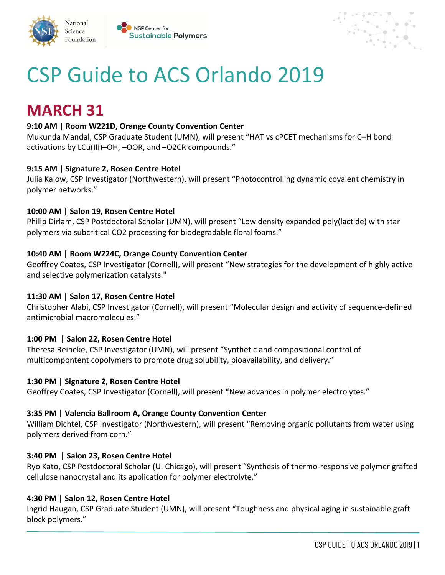



# CSP Guide to ACS Orlando 2019

## **MARCH 31**

National

Science

Foundation

#### **9:10 AM | Room W221D, Orange County Convention Center**

Mukunda Mandal, CSP Graduate Student (UMN), will present "HAT vs cPCET mechanisms for C–H bond activations by LCu(III)–OH, –OOR, and –O2CR compounds."

#### **9:15 AM | Signature 2, Rosen Centre Hotel**

Julia Kalow, CSP Investigator (Northwestern), will present "Photocontrolling dynamic covalent chemistry in polymer networks."

#### **10:00 AM | Salon 19, Rosen Centre Hotel**

Philip Dirlam, CSP Postdoctoral Scholar (UMN), will present "Low density expanded poly(lactide) with star polymers via subcritical CO2 processing for biodegradable floral foams."

#### **10:40 AM | Room W224C, Orange County Convention Center**

Geoffrey Coates, CSP Investigator (Cornell), will present "New strategies for the development of highly active and selective polymerization catalysts."

#### **11:30 AM | Salon 17, Rosen Centre Hotel**

Christopher Alabi, CSP Investigator (Cornell), will present "Molecular design and activity of sequence-defined antimicrobial macromolecules."

#### **1:00 PM | Salon 22, Rosen Centre Hotel**

Theresa Reineke, CSP Investigator (UMN), will present "Synthetic and compositional control of multicompontent copolymers to promote drug solubility, bioavailability, and delivery."

#### **1:30 PM | Signature 2, Rosen Centre Hotel**

Geoffrey Coates, CSP Investigator (Cornell), will present "New advances in polymer electrolytes."

#### **3:35 PM | Valencia Ballroom A, Orange County Convention Center**

William Dichtel, CSP Investigator (Northwestern), will present "Removing organic pollutants from water using polymers derived from corn."

#### **3:40 PM | Salon 23, Rosen Centre Hotel**

Ryo Kato, CSP Postdoctoral Scholar (U. Chicago), will present "Synthesis of thermo-responsive polymer grafted cellulose nanocrystal and its application for polymer electrolyte."

#### **4:30 PM | Salon 12, Rosen Centre Hotel**

Ingrid Haugan, CSP Graduate Student (UMN), will present "Toughness and physical aging in sustainable graft block polymers."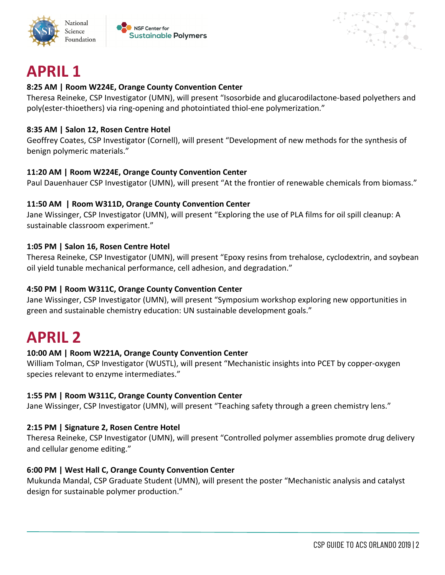



$$
H^{\text{max}}_{\text{max}}
$$

# **APRIL 1**

#### **8:25 AM | Room W224E, Orange County Convention Center**

Theresa Reineke, CSP Investigator (UMN), will present "Isosorbide and glucarodilactone-based polyethers and poly(ester-thioethers) via ring-opening and photointiated thiol-ene polymerization."

#### **8:35 AM | Salon 12, Rosen Centre Hotel**

Geoffrey Coates, CSP Investigator (Cornell), will present "Development of new methods for the synthesis of benign polymeric materials."

### **11:20 AM | Room W224E, Orange County Convention Center**

Paul Dauenhauer CSP Investigator (UMN), will present "At the frontier of renewable chemicals from biomass."

#### **11:50 AM | Room W311D, Orange County Convention Center**

Jane Wissinger, CSP Investigator (UMN), will present "Exploring the use of PLA films for oil spill cleanup: A sustainable classroom experiment."

#### **1:05 PM | Salon 16, Rosen Centre Hotel**

Theresa Reineke, CSP Investigator (UMN), will present "Epoxy resins from trehalose, cyclodextrin, and soybean oil yield tunable mechanical performance, cell adhesion, and degradation."

#### **4:50 PM | Room W311C, Orange County Convention Center**

Jane Wissinger, CSP Investigator (UMN), will present "Symposium workshop exploring new opportunities in green and sustainable chemistry education: UN sustainable development goals."

## **APRIL 2**

### **10:00 AM | Room W221A, Orange County Convention Center**

William Tolman, CSP Investigator (WUSTL), will present "Mechanistic insights into PCET by copper-oxygen species relevant to enzyme intermediates."

#### **1:55 PM | Room W311C, Orange County Convention Center**

Jane Wissinger, CSP Investigator (UMN), will present "Teaching safety through a green chemistry lens."

### **2:15 PM | Signature 2, Rosen Centre Hotel**

Theresa Reineke, CSP Investigator (UMN), will present "Controlled polymer assemblies promote drug delivery and cellular genome editing."

### **6:00 PM | West Hall C, Orange County Convention Center**

Mukunda Mandal, CSP Graduate Student (UMN), will present the poster "Mechanistic analysis and catalyst design for sustainable polymer production."